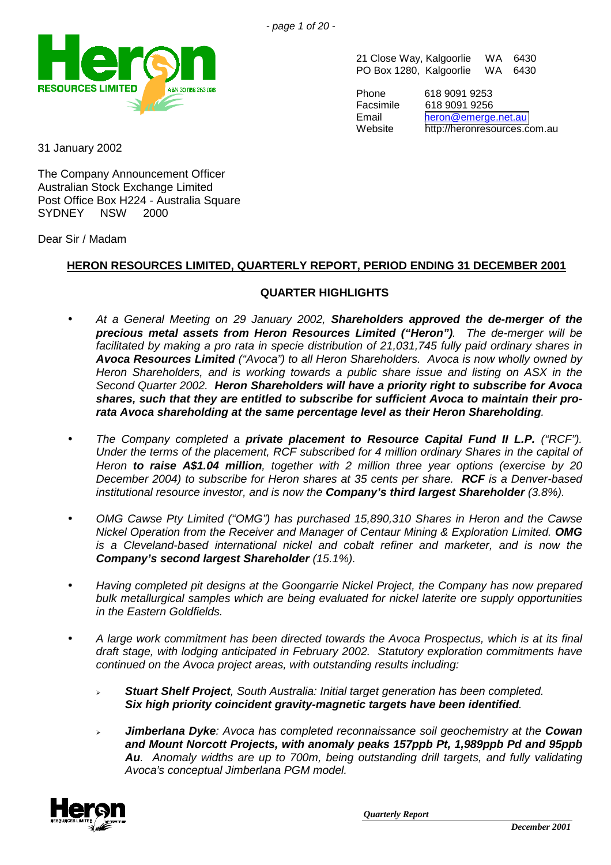

21 Close Way, Kalgoorlie WA 6430 PO Box 1280, Kalgoorlie WA 6430

Phone 618 9091 9253 Facsimile 618 9091 9256 Email [heron@emerge.net.au](mailto:heron@emerge.net.au) Website http://heronresources.com.au

31 January 2002

The Company Announcement Officer Australian Stock Exchange Limited Post Office Box H224 - Australia Square SYDNEY NSW 2000

Dear Sir / Madam

# **HERON RESOURCES LIMITED, QUARTERLY REPORT, PERIOD ENDING 31 DECEMBER 2001**

## **QUARTER HIGHLIGHTS**

- *At a General Meeting on 29 January 2002, Shareholders approved the de-merger of the precious metal assets from Heron Resources Limited ("Heron"). The de-merger will be facilitated by making a pro rata in specie distribution of 21,031,745 fully paid ordinary shares in Avoca Resources Limited ("Avoca") to all Heron Shareholders. Avoca is now wholly owned by Heron Shareholders, and is working towards a public share issue and listing on ASX in the Second Quarter 2002. Heron Shareholders will have a priority right to subscribe for Avoca shares, such that they are entitled to subscribe for sufficient Avoca to maintain their prorata Avoca shareholding at the same percentage level as their Heron Shareholding.*
- *The Company completed a private placement to Resource Capital Fund II L.P. ("RCF"). Under the terms of the placement, RCF subscribed for 4 million ordinary Shares in the capital of Heron to raise A\$1.04 million, together with 2 million three year options (exercise by 20 December 2004) to subscribe for Heron shares at 35 cents per share. RCF is a Denver-based institutional resource investor, and is now the Company's third largest Shareholder (3.8%).*
- *OMG Cawse Pty Limited ("OMG") has purchased 15,890,310 Shares in Heron and the Cawse Nickel Operation from the Receiver and Manager of Centaur Mining & Exploration Limited. OMG is a Cleveland-based international nickel and cobalt refiner and marketer, and is now the Company's second largest Shareholder (15.1%).*
- *Having completed pit designs at the Goongarrie Nickel Project, the Company has now prepared bulk metallurgical samples which are being evaluated for nickel laterite ore supply opportunities in the Eastern Goldfields.*
- *A large work commitment has been directed towards the Avoca Prospectus, which is at its final draft stage, with lodging anticipated in February 2002. Statutory exploration commitments have continued on the Avoca project areas, with outstanding results including:*
	- ! *Stuart Shelf Project, South Australia: Initial target generation has been completed. Six high priority coincident gravity-magnetic targets have been identified.*
	- ! *Jimberlana Dyke: Avoca has completed reconnaissance soil geochemistry at the Cowan and Mount Norcott Projects, with anomaly peaks 157ppb Pt, 1,989ppb Pd and 95ppb Au. Anomaly widths are up to 700m, being outstanding drill targets, and fully validating Avoca's conceptual Jimberlana PGM model.*

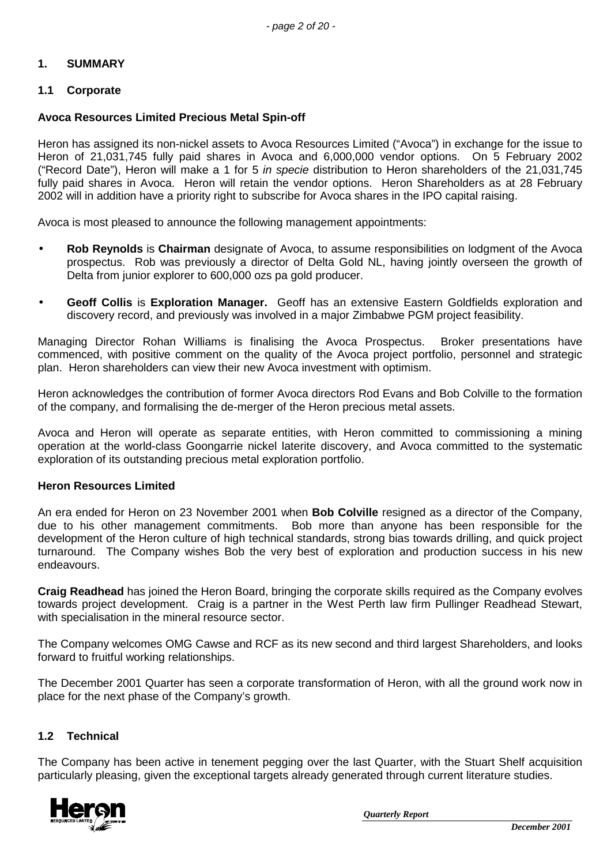### **1. SUMMARY**

### **1.1 Corporate**

#### **Avoca Resources Limited Precious Metal Spin-off**

Heron has assigned its non-nickel assets to Avoca Resources Limited ("Avoca") in exchange for the issue to Heron of 21,031,745 fully paid shares in Avoca and 6,000,000 vendor options. On 5 February 2002 ("Record Date"), Heron will make a 1 for 5 *in specie* distribution to Heron shareholders of the 21,031,745 fully paid shares in Avoca. Heron will retain the vendor options. Heron Shareholders as at 28 February 2002 will in addition have a priority right to subscribe for Avoca shares in the IPO capital raising.

Avoca is most pleased to announce the following management appointments:

- **Rob Reynolds** is **Chairman** designate of Avoca, to assume responsibilities on lodgment of the Avoca prospectus. Rob was previously a director of Delta Gold NL, having jointly overseen the growth of Delta from junior explorer to 600,000 ozs pa gold producer.
- **Geoff Collis** is **Exploration Manager.** Geoff has an extensive Eastern Goldfields exploration and discovery record, and previously was involved in a major Zimbabwe PGM project feasibility.

Managing Director Rohan Williams is finalising the Avoca Prospectus. Broker presentations have commenced, with positive comment on the quality of the Avoca project portfolio, personnel and strategic plan. Heron shareholders can view their new Avoca investment with optimism.

Heron acknowledges the contribution of former Avoca directors Rod Evans and Bob Colville to the formation of the company, and formalising the de-merger of the Heron precious metal assets.

Avoca and Heron will operate as separate entities, with Heron committed to commissioning a mining operation at the world-class Goongarrie nickel laterite discovery, and Avoca committed to the systematic exploration of its outstanding precious metal exploration portfolio.

#### **Heron Resources Limited**

An era ended for Heron on 23 November 2001 when **Bob Colville** resigned as a director of the Company, due to his other management commitments. Bob more than anyone has been responsible for the development of the Heron culture of high technical standards, strong bias towards drilling, and quick project turnaround. The Company wishes Bob the very best of exploration and production success in his new endeavours.

**Craig Readhead** has joined the Heron Board, bringing the corporate skills required as the Company evolves towards project development. Craig is a partner in the West Perth law firm Pullinger Readhead Stewart, with specialisation in the mineral resource sector.

The Company welcomes OMG Cawse and RCF as its new second and third largest Shareholders, and looks forward to fruitful working relationships.

The December 2001 Quarter has seen a corporate transformation of Heron, with all the ground work now in place for the next phase of the Company's growth.

#### **1.2 Technical**

The Company has been active in tenement pegging over the last Quarter, with the Stuart Shelf acquisition particularly pleasing, given the exceptional targets already generated through current literature studies.

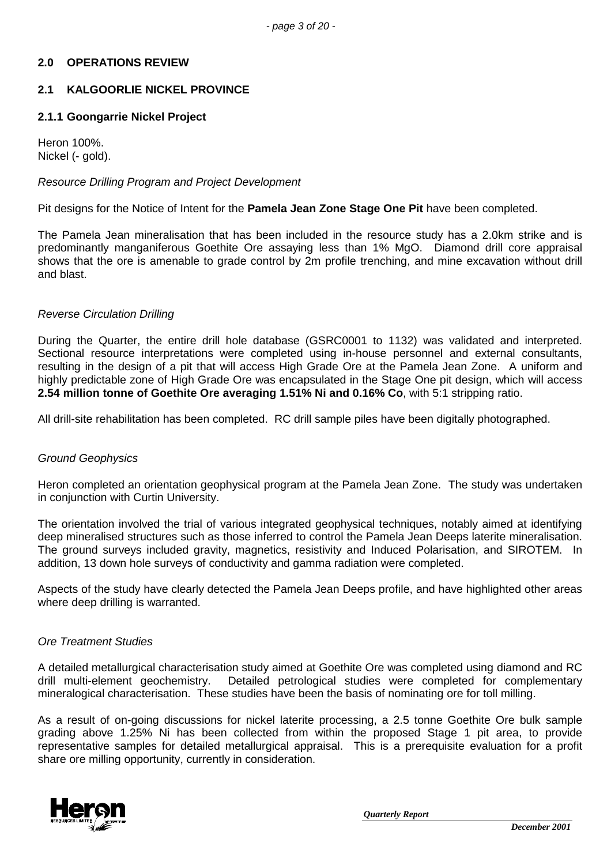### **2.0 OPERATIONS REVIEW**

### **2.1 KALGOORLIE NICKEL PROVINCE**

### **2.1.1 Goongarrie Nickel Project**

Heron 100%. Nickel (- gold).

### *Resource Drilling Program and Project Development*

Pit designs for the Notice of Intent for the **Pamela Jean Zone Stage One Pit** have been completed.

The Pamela Jean mineralisation that has been included in the resource study has a 2.0km strike and is predominantly manganiferous Goethite Ore assaying less than 1% MgO. Diamond drill core appraisal shows that the ore is amenable to grade control by 2m profile trenching, and mine excavation without drill and blast.

### *Reverse Circulation Drilling*

During the Quarter, the entire drill hole database (GSRC0001 to 1132) was validated and interpreted. Sectional resource interpretations were completed using in-house personnel and external consultants, resulting in the design of a pit that will access High Grade Ore at the Pamela Jean Zone. A uniform and highly predictable zone of High Grade Ore was encapsulated in the Stage One pit design, which will access **2.54 million tonne of Goethite Ore averaging 1.51% Ni and 0.16% Co**, with 5:1 stripping ratio.

All drill-site rehabilitation has been completed. RC drill sample piles have been digitally photographed.

### *Ground Geophysics*

Heron completed an orientation geophysical program at the Pamela Jean Zone. The study was undertaken in conjunction with Curtin University.

The orientation involved the trial of various integrated geophysical techniques, notably aimed at identifying deep mineralised structures such as those inferred to control the Pamela Jean Deeps laterite mineralisation. The ground surveys included gravity, magnetics, resistivity and Induced Polarisation, and SIROTEM. In addition, 13 down hole surveys of conductivity and gamma radiation were completed.

Aspects of the study have clearly detected the Pamela Jean Deeps profile, and have highlighted other areas where deep drilling is warranted.

#### *Ore Treatment Studies*

A detailed metallurgical characterisation study aimed at Goethite Ore was completed using diamond and RC drill multi-element geochemistry. Detailed petrological studies were completed for complementary mineralogical characterisation. These studies have been the basis of nominating ore for toll milling.

As a result of on-going discussions for nickel laterite processing, a 2.5 tonne Goethite Ore bulk sample grading above 1.25% Ni has been collected from within the proposed Stage 1 pit area, to provide representative samples for detailed metallurgical appraisal. This is a prerequisite evaluation for a profit share ore milling opportunity, currently in consideration.

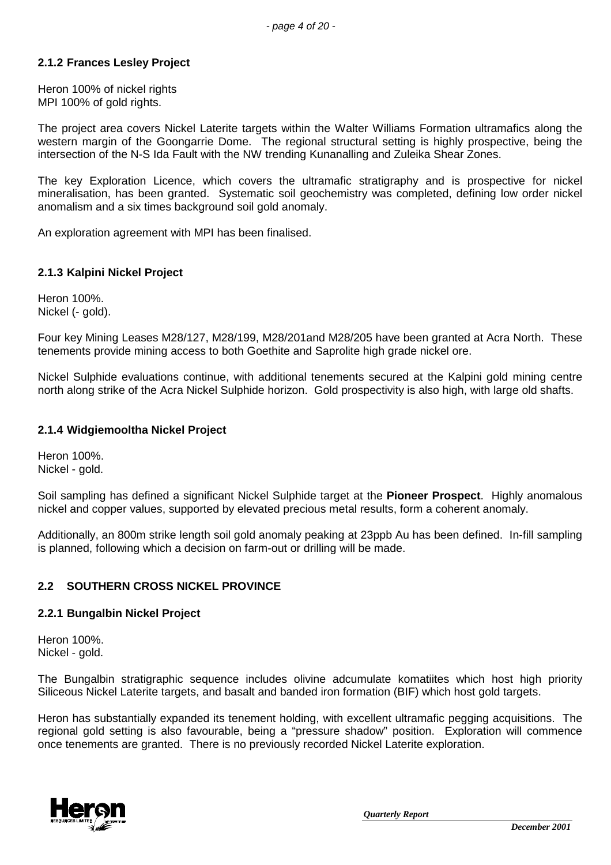### **2.1.2 Frances Lesley Project**

Heron 100% of nickel rights MPI 100% of gold rights.

The project area covers Nickel Laterite targets within the Walter Williams Formation ultramafics along the western margin of the Goongarrie Dome. The regional structural setting is highly prospective, being the intersection of the N-S Ida Fault with the NW trending Kunanalling and Zuleika Shear Zones.

The key Exploration Licence, which covers the ultramafic stratigraphy and is prospective for nickel mineralisation, has been granted. Systematic soil geochemistry was completed, defining low order nickel anomalism and a six times background soil gold anomaly.

An exploration agreement with MPI has been finalised.

#### **2.1.3 Kalpini Nickel Project**

Heron 100%. Nickel (- gold).

Four key Mining Leases M28/127, M28/199, M28/201and M28/205 have been granted at Acra North. These tenements provide mining access to both Goethite and Saprolite high grade nickel ore.

Nickel Sulphide evaluations continue, with additional tenements secured at the Kalpini gold mining centre north along strike of the Acra Nickel Sulphide horizon. Gold prospectivity is also high, with large old shafts.

#### **2.1.4 Widgiemooltha Nickel Project**

Heron 100%. Nickel - gold.

Soil sampling has defined a significant Nickel Sulphide target at the **Pioneer Prospect**. Highly anomalous nickel and copper values, supported by elevated precious metal results, form a coherent anomaly.

Additionally, an 800m strike length soil gold anomaly peaking at 23ppb Au has been defined. In-fill sampling is planned, following which a decision on farm-out or drilling will be made.

### **2.2 SOUTHERN CROSS NICKEL PROVINCE**

#### **2.2.1 Bungalbin Nickel Project**

Heron 100%. Nickel - gold.

The Bungalbin stratigraphic sequence includes olivine adcumulate komatiites which host high priority Siliceous Nickel Laterite targets, and basalt and banded iron formation (BIF) which host gold targets.

Heron has substantially expanded its tenement holding, with excellent ultramafic pegging acquisitions. The regional gold setting is also favourable, being a "pressure shadow" position. Exploration will commence once tenements are granted. There is no previously recorded Nickel Laterite exploration.

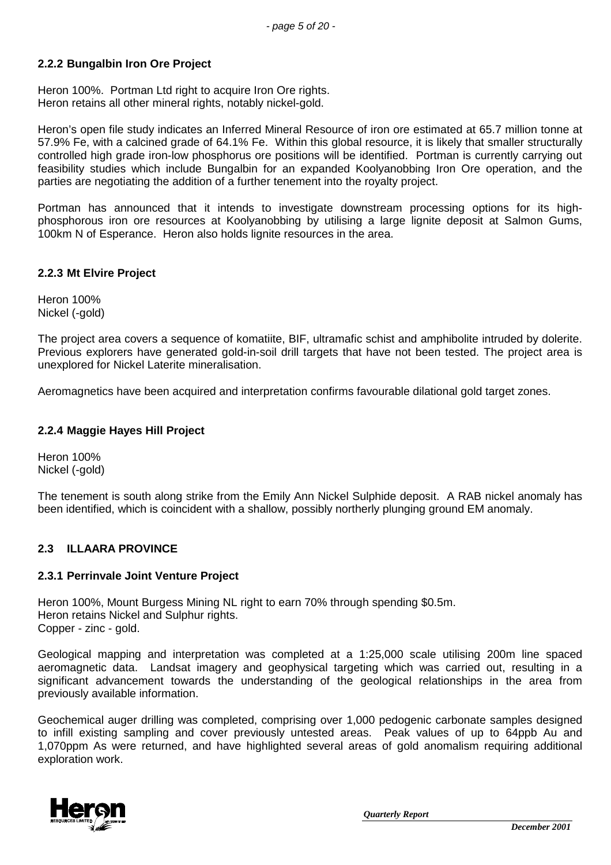### **2.2.2 Bungalbin Iron Ore Project**

Heron 100%. Portman Ltd right to acquire Iron Ore rights. Heron retains all other mineral rights, notably nickel-gold.

Heron's open file study indicates an Inferred Mineral Resource of iron ore estimated at 65.7 million tonne at 57.9% Fe, with a calcined grade of 64.1% Fe. Within this global resource, it is likely that smaller structurally controlled high grade iron-low phosphorus ore positions will be identified. Portman is currently carrying out feasibility studies which include Bungalbin for an expanded Koolyanobbing Iron Ore operation, and the parties are negotiating the addition of a further tenement into the royalty project.

Portman has announced that it intends to investigate downstream processing options for its highphosphorous iron ore resources at Koolyanobbing by utilising a large lignite deposit at Salmon Gums, 100km N of Esperance. Heron also holds lignite resources in the area.

### **2.2.3 Mt Elvire Project**

Heron 100% Nickel (-gold)

The project area covers a sequence of komatiite, BIF, ultramafic schist and amphibolite intruded by dolerite. Previous explorers have generated gold-in-soil drill targets that have not been tested. The project area is unexplored for Nickel Laterite mineralisation.

Aeromagnetics have been acquired and interpretation confirms favourable dilational gold target zones.

### **2.2.4 Maggie Hayes Hill Project**

Heron 100% Nickel (-gold)

The tenement is south along strike from the Emily Ann Nickel Sulphide deposit. A RAB nickel anomaly has been identified, which is coincident with a shallow, possibly northerly plunging ground EM anomaly.

### **2.3 ILLAARA PROVINCE**

#### **2.3.1 Perrinvale Joint Venture Project**

Heron 100%, Mount Burgess Mining NL right to earn 70% through spending \$0.5m. Heron retains Nickel and Sulphur rights. Copper - zinc - gold.

Geological mapping and interpretation was completed at a 1:25,000 scale utilising 200m line spaced aeromagnetic data. Landsat imagery and geophysical targeting which was carried out, resulting in a significant advancement towards the understanding of the geological relationships in the area from previously available information.

Geochemical auger drilling was completed, comprising over 1,000 pedogenic carbonate samples designed to infill existing sampling and cover previously untested areas. Peak values of up to 64ppb Au and 1,070ppm As were returned, and have highlighted several areas of gold anomalism requiring additional exploration work.

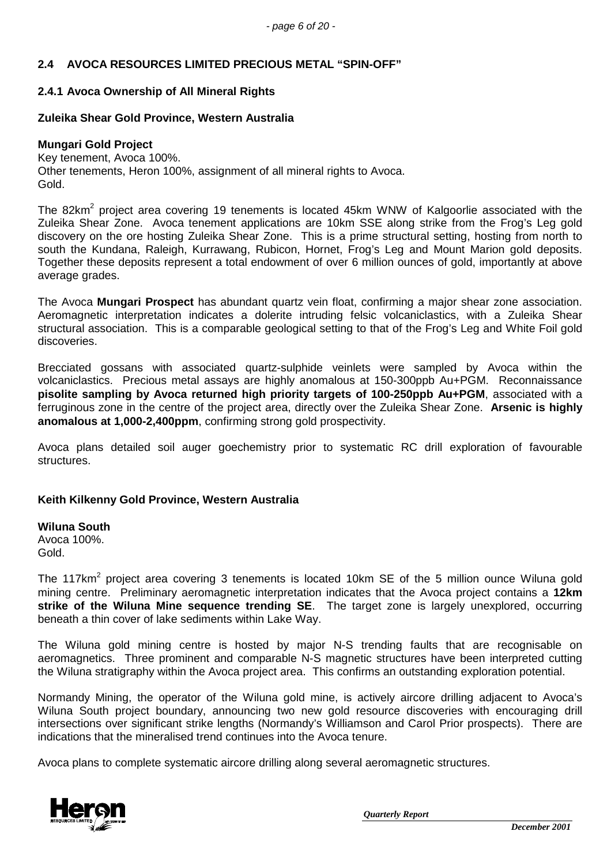## **2.4 AVOCA RESOURCES LIMITED PRECIOUS METAL "SPIN-OFF"**

### **2.4.1 Avoca Ownership of All Mineral Rights**

### **Zuleika Shear Gold Province, Western Australia**

#### **Mungari Gold Project**

Key tenement, Avoca 100%. Other tenements, Heron 100%, assignment of all mineral rights to Avoca. Gold.

The 82km<sup>2</sup> project area covering 19 tenements is located 45km WNW of Kalgoorlie associated with the Zuleika Shear Zone. Avoca tenement applications are 10km SSE along strike from the Frog's Leg gold discovery on the ore hosting Zuleika Shear Zone. This is a prime structural setting, hosting from north to south the Kundana, Raleigh, Kurrawang, Rubicon, Hornet, Frog's Leg and Mount Marion gold deposits. Together these deposits represent a total endowment of over 6 million ounces of gold, importantly at above average grades.

The Avoca **Mungari Prospect** has abundant quartz vein float, confirming a major shear zone association. Aeromagnetic interpretation indicates a dolerite intruding felsic volcaniclastics, with a Zuleika Shear structural association. This is a comparable geological setting to that of the Frog's Leg and White Foil gold discoveries.

Brecciated gossans with associated quartz-sulphide veinlets were sampled by Avoca within the volcaniclastics. Precious metal assays are highly anomalous at 150-300ppb Au+PGM. Reconnaissance **pisolite sampling by Avoca returned high priority targets of 100-250ppb Au+PGM**, associated with a ferruginous zone in the centre of the project area, directly over the Zuleika Shear Zone. **Arsenic is highly anomalous at 1,000-2,400ppm**, confirming strong gold prospectivity.

Avoca plans detailed soil auger goechemistry prior to systematic RC drill exploration of favourable structures.

#### **Keith Kilkenny Gold Province, Western Australia**

**Wiluna South** Avoca 100%. Gold.

The 117km<sup>2</sup> project area covering 3 tenements is located 10km SE of the 5 million ounce Wiluna gold mining centre. Preliminary aeromagnetic interpretation indicates that the Avoca project contains a **12km strike of the Wiluna Mine sequence trending SE**. The target zone is largely unexplored, occurring beneath a thin cover of lake sediments within Lake Way.

The Wiluna gold mining centre is hosted by major N-S trending faults that are recognisable on aeromagnetics. Three prominent and comparable N-S magnetic structures have been interpreted cutting the Wiluna stratigraphy within the Avoca project area. This confirms an outstanding exploration potential.

Normandy Mining, the operator of the Wiluna gold mine, is actively aircore drilling adjacent to Avoca's Wiluna South project boundary, announcing two new gold resource discoveries with encouraging drill intersections over significant strike lengths (Normandy's Williamson and Carol Prior prospects). There are indications that the mineralised trend continues into the Avoca tenure.

Avoca plans to complete systematic aircore drilling along several aeromagnetic structures.

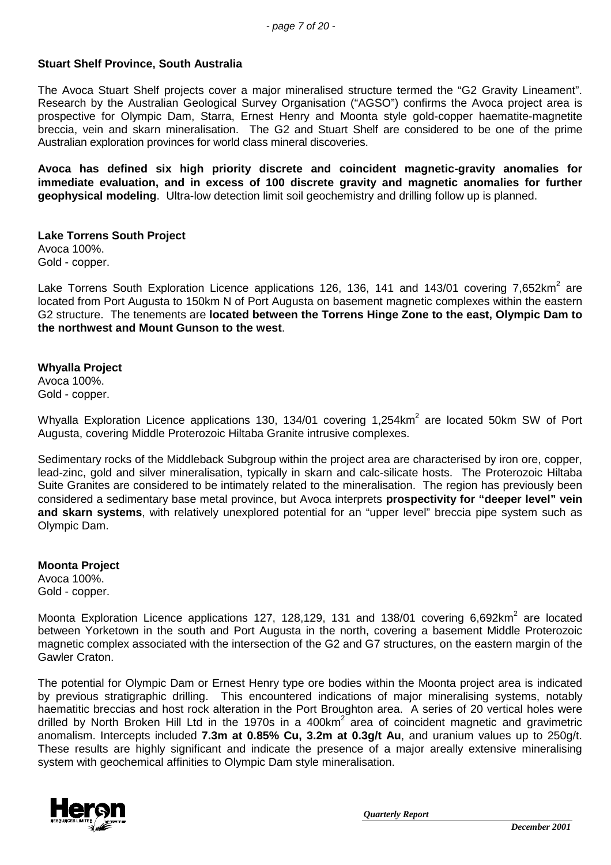### **Stuart Shelf Province, South Australia**

The Avoca Stuart Shelf projects cover a major mineralised structure termed the "G2 Gravity Lineament". Research by the Australian Geological Survey Organisation ("AGSO") confirms the Avoca project area is prospective for Olympic Dam, Starra, Ernest Henry and Moonta style gold-copper haematite-magnetite breccia, vein and skarn mineralisation. The G2 and Stuart Shelf are considered to be one of the prime Australian exploration provinces for world class mineral discoveries.

**Avoca has defined six high priority discrete and coincident magnetic-gravity anomalies for immediate evaluation, and in excess of 100 discrete gravity and magnetic anomalies for further geophysical modeling**. Ultra-low detection limit soil geochemistry and drilling follow up is planned.

**Lake Torrens South Project** Avoca 100%. Gold - copper.

Lake Torrens South Exploration Licence applications 126, 136, 141 and 143/01 covering 7,652km<sup>2</sup> are located from Port Augusta to 150km N of Port Augusta on basement magnetic complexes within the eastern G2 structure. The tenements are **located between the Torrens Hinge Zone to the east, Olympic Dam to the northwest and Mount Gunson to the west**.

#### **Whyalla Project**

Avoca 100%. Gold - copper.

Whyalla Exploration Licence applications 130, 134/01 covering 1,254km<sup>2</sup> are located 50km SW of Port Augusta, covering Middle Proterozoic Hiltaba Granite intrusive complexes.

Sedimentary rocks of the Middleback Subgroup within the project area are characterised by iron ore, copper, lead-zinc, gold and silver mineralisation, typically in skarn and calc-silicate hosts. The Proterozoic Hiltaba Suite Granites are considered to be intimately related to the mineralisation. The region has previously been considered a sedimentary base metal province, but Avoca interprets **prospectivity for "deeper level" vein and skarn systems**, with relatively unexplored potential for an "upper level" breccia pipe system such as Olympic Dam.

**Moonta Project** Avoca 100%. Gold - copper.

Moonta Exploration Licence applications 127, 128,129, 131 and 138/01 covering 6,692km<sup>2</sup> are located between Yorketown in the south and Port Augusta in the north, covering a basement Middle Proterozoic magnetic complex associated with the intersection of the G2 and G7 structures, on the eastern margin of the Gawler Craton.

The potential for Olympic Dam or Ernest Henry type ore bodies within the Moonta project area is indicated by previous stratigraphic drilling. This encountered indications of major mineralising systems, notably haematitic breccias and host rock alteration in the Port Broughton area. A series of 20 vertical holes were drilled by North Broken Hill Ltd in the 1970s in a 400km<sup>2</sup> area of coincident magnetic and gravimetric anomalism. Intercepts included **7.3m at 0.85% Cu, 3.2m at 0.3g/t Au**, and uranium values up to 250g/t. These results are highly significant and indicate the presence of a major areally extensive mineralising system with geochemical affinities to Olympic Dam style mineralisation.

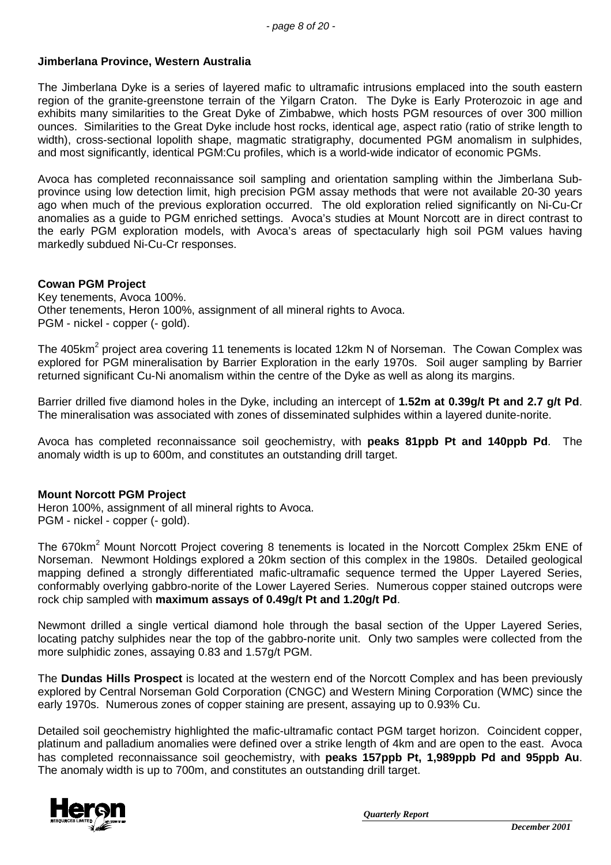### **Jimberlana Province, Western Australia**

The Jimberlana Dyke is a series of layered mafic to ultramafic intrusions emplaced into the south eastern region of the granite-greenstone terrain of the Yilgarn Craton. The Dyke is Early Proterozoic in age and exhibits many similarities to the Great Dyke of Zimbabwe, which hosts PGM resources of over 300 million ounces. Similarities to the Great Dyke include host rocks, identical age, aspect ratio (ratio of strike length to width), cross-sectional lopolith shape, magmatic stratigraphy, documented PGM anomalism in sulphides, and most significantly, identical PGM:Cu profiles, which is a world-wide indicator of economic PGMs.

Avoca has completed reconnaissance soil sampling and orientation sampling within the Jimberlana Subprovince using low detection limit, high precision PGM assay methods that were not available 20-30 years ago when much of the previous exploration occurred. The old exploration relied significantly on Ni-Cu-Cr anomalies as a guide to PGM enriched settings. Avoca's studies at Mount Norcott are in direct contrast to the early PGM exploration models, with Avoca's areas of spectacularly high soil PGM values having markedly subdued Ni-Cu-Cr responses.

### **Cowan PGM Project**

Key tenements, Avoca 100%. Other tenements, Heron 100%, assignment of all mineral rights to Avoca. PGM - nickel - copper (- gold).

The 405km<sup>2</sup> project area covering 11 tenements is located 12km N of Norseman. The Cowan Complex was explored for PGM mineralisation by Barrier Exploration in the early 1970s. Soil auger sampling by Barrier returned significant Cu-Ni anomalism within the centre of the Dyke as well as along its margins.

Barrier drilled five diamond holes in the Dyke, including an intercept of **1.52m at 0.39g/t Pt and 2.7 g/t Pd**. The mineralisation was associated with zones of disseminated sulphides within a layered dunite-norite.

Avoca has completed reconnaissance soil geochemistry, with **peaks 81ppb Pt and 140ppb Pd**. The anomaly width is up to 600m, and constitutes an outstanding drill target.

#### **Mount Norcott PGM Project**

Heron 100%, assignment of all mineral rights to Avoca. PGM - nickel - copper (- gold).

The 670km<sup>2</sup> Mount Norcott Project covering 8 tenements is located in the Norcott Complex 25km ENE of Norseman. Newmont Holdings explored a 20km section of this complex in the 1980s. Detailed geological mapping defined a strongly differentiated mafic-ultramafic sequence termed the Upper Layered Series, conformably overlying gabbro-norite of the Lower Layered Series. Numerous copper stained outcrops were rock chip sampled with **maximum assays of 0.49g/t Pt and 1.20g/t Pd**.

Newmont drilled a single vertical diamond hole through the basal section of the Upper Layered Series, locating patchy sulphides near the top of the gabbro-norite unit. Only two samples were collected from the more sulphidic zones, assaying 0.83 and 1.57g/t PGM.

The **Dundas Hills Prospect** is located at the western end of the Norcott Complex and has been previously explored by Central Norseman Gold Corporation (CNGC) and Western Mining Corporation (WMC) since the early 1970s. Numerous zones of copper staining are present, assaying up to 0.93% Cu.

Detailed soil geochemistry highlighted the mafic-ultramafic contact PGM target horizon. Coincident copper, platinum and palladium anomalies were defined over a strike length of 4km and are open to the east. Avoca has completed reconnaissance soil geochemistry, with **peaks 157ppb Pt, 1,989ppb Pd and 95ppb Au**. The anomaly width is up to 700m, and constitutes an outstanding drill target.

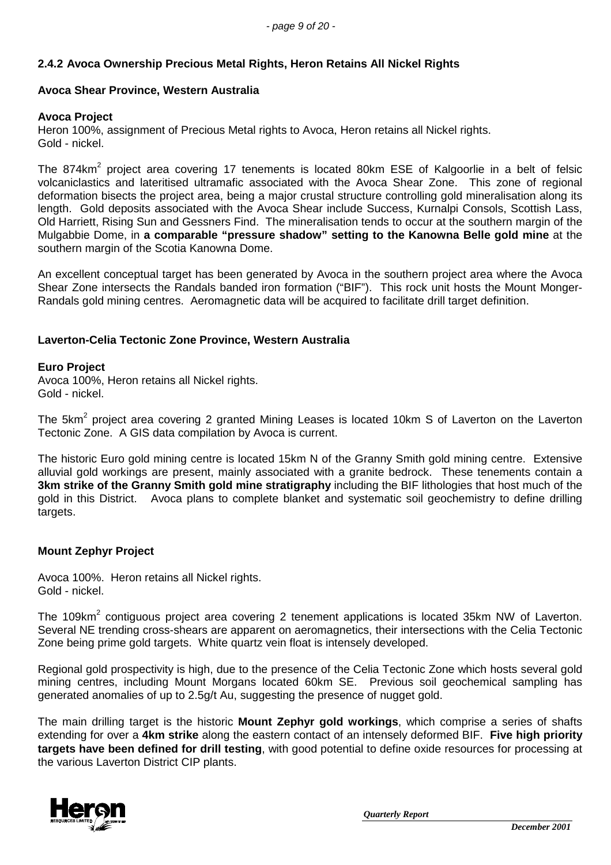### **2.4.2 Avoca Ownership Precious Metal Rights, Heron Retains All Nickel Rights**

### **Avoca Shear Province, Western Australia**

#### **Avoca Project**

Heron 100%, assignment of Precious Metal rights to Avoca, Heron retains all Nickel rights. Gold - nickel.

The 874km<sup>2</sup> project area covering 17 tenements is located 80km ESE of Kalgoorlie in a belt of felsic volcaniclastics and lateritised ultramafic associated with the Avoca Shear Zone. This zone of regional deformation bisects the project area, being a major crustal structure controlling gold mineralisation along its length. Gold deposits associated with the Avoca Shear include Success, Kurnalpi Consols, Scottish Lass, Old Harriett, Rising Sun and Gessners Find. The mineralisation tends to occur at the southern margin of the Mulgabbie Dome, in **a comparable "pressure shadow" setting to the Kanowna Belle gold mine** at the southern margin of the Scotia Kanowna Dome.

An excellent conceptual target has been generated by Avoca in the southern project area where the Avoca Shear Zone intersects the Randals banded iron formation ("BIF"). This rock unit hosts the Mount Monger-Randals gold mining centres. Aeromagnetic data will be acquired to facilitate drill target definition.

### **Laverton-Celia Tectonic Zone Province, Western Australia**

#### **Euro Project**

Avoca 100%, Heron retains all Nickel rights. Gold - nickel.

The 5km<sup>2</sup> project area covering 2 granted Mining Leases is located 10km S of Laverton on the Laverton Tectonic Zone. A GIS data compilation by Avoca is current.

The historic Euro gold mining centre is located 15km N of the Granny Smith gold mining centre. Extensive alluvial gold workings are present, mainly associated with a granite bedrock. These tenements contain a **3km strike of the Granny Smith gold mine stratigraphy** including the BIF lithologies that host much of the gold in this District. Avoca plans to complete blanket and systematic soil geochemistry to define drilling targets.

#### **Mount Zephyr Project**

Avoca 100%. Heron retains all Nickel rights. Gold - nickel.

The 109km<sup>2</sup> contiguous project area covering 2 tenement applications is located 35km NW of Laverton. Several NE trending cross-shears are apparent on aeromagnetics, their intersections with the Celia Tectonic Zone being prime gold targets. White quartz vein float is intensely developed.

Regional gold prospectivity is high, due to the presence of the Celia Tectonic Zone which hosts several gold mining centres, including Mount Morgans located 60km SE. Previous soil geochemical sampling has generated anomalies of up to 2.5g/t Au, suggesting the presence of nugget gold.

The main drilling target is the historic **Mount Zephyr gold workings**, which comprise a series of shafts extending for over a **4km strike** along the eastern contact of an intensely deformed BIF. **Five high priority targets have been defined for drill testing**, with good potential to define oxide resources for processing at the various Laverton District CIP plants.

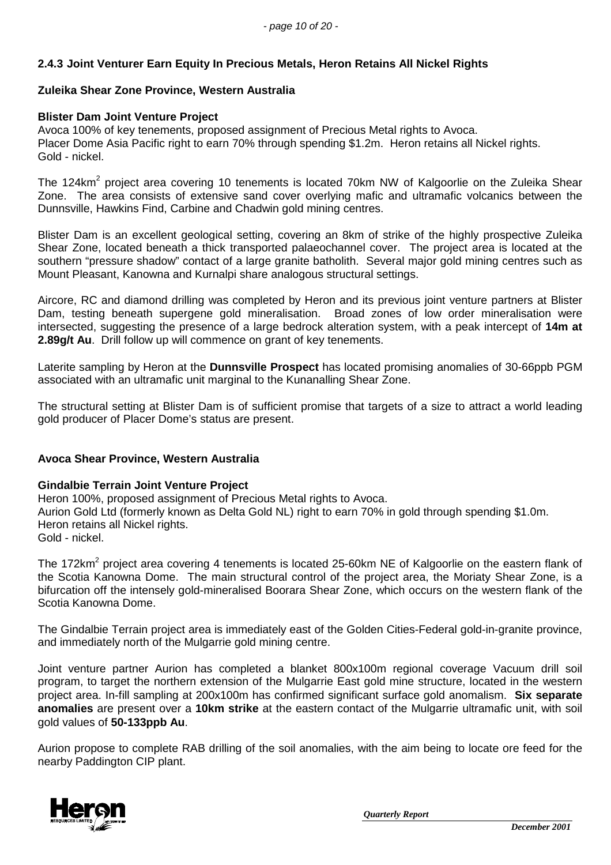### **2.4.3 Joint Venturer Earn Equity In Precious Metals, Heron Retains All Nickel Rights**

### **Zuleika Shear Zone Province, Western Australia**

#### **Blister Dam Joint Venture Project**

Avoca 100% of key tenements, proposed assignment of Precious Metal rights to Avoca. Placer Dome Asia Pacific right to earn 70% through spending \$1.2m. Heron retains all Nickel rights. Gold - nickel.

The 124km<sup>2</sup> project area covering 10 tenements is located 70km NW of Kalgoorlie on the Zuleika Shear Zone. The area consists of extensive sand cover overlying mafic and ultramafic volcanics between the Dunnsville, Hawkins Find, Carbine and Chadwin gold mining centres.

Blister Dam is an excellent geological setting, covering an 8km of strike of the highly prospective Zuleika Shear Zone, located beneath a thick transported palaeochannel cover. The project area is located at the southern "pressure shadow" contact of a large granite batholith. Several major gold mining centres such as Mount Pleasant, Kanowna and Kurnalpi share analogous structural settings.

Aircore, RC and diamond drilling was completed by Heron and its previous joint venture partners at Blister Dam, testing beneath supergene gold mineralisation. Broad zones of low order mineralisation were intersected, suggesting the presence of a large bedrock alteration system, with a peak intercept of **14m at 2.89g/t Au**. Drill follow up will commence on grant of key tenements.

Laterite sampling by Heron at the **Dunnsville Prospect** has located promising anomalies of 30-66ppb PGM associated with an ultramafic unit marginal to the Kunanalling Shear Zone.

The structural setting at Blister Dam is of sufficient promise that targets of a size to attract a world leading gold producer of Placer Dome's status are present.

### **Avoca Shear Province, Western Australia**

#### **Gindalbie Terrain Joint Venture Project**

Heron 100%, proposed assignment of Precious Metal rights to Avoca. Aurion Gold Ltd (formerly known as Delta Gold NL) right to earn 70% in gold through spending \$1.0m. Heron retains all Nickel rights. Gold - nickel.

The 172km<sup>2</sup> project area covering 4 tenements is located 25-60km NE of Kalgoorlie on the eastern flank of the Scotia Kanowna Dome. The main structural control of the project area, the Moriaty Shear Zone, is a bifurcation off the intensely gold-mineralised Boorara Shear Zone, which occurs on the western flank of the Scotia Kanowna Dome.

The Gindalbie Terrain project area is immediately east of the Golden Cities-Federal gold-in-granite province, and immediately north of the Mulgarrie gold mining centre.

Joint venture partner Aurion has completed a blanket 800x100m regional coverage Vacuum drill soil program, to target the northern extension of the Mulgarrie East gold mine structure, located in the western project area. In-fill sampling at 200x100m has confirmed significant surface gold anomalism. **Six separate anomalies** are present over a **10km strike** at the eastern contact of the Mulgarrie ultramafic unit, with soil gold values of **50-133ppb Au**.

Aurion propose to complete RAB drilling of the soil anomalies, with the aim being to locate ore feed for the nearby Paddington CIP plant.

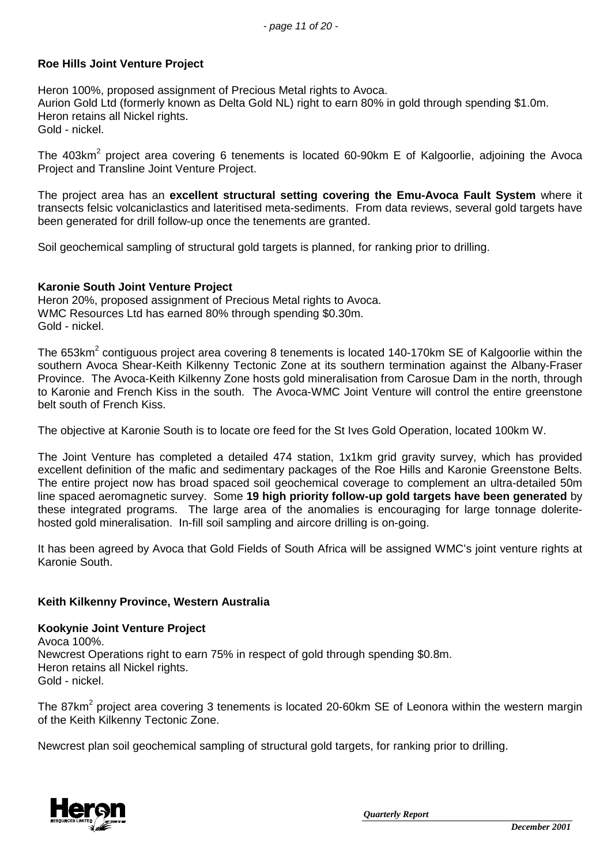### **Roe Hills Joint Venture Project**

Heron 100%, proposed assignment of Precious Metal rights to Avoca. Aurion Gold Ltd (formerly known as Delta Gold NL) right to earn 80% in gold through spending \$1.0m. Heron retains all Nickel rights. Gold - nickel.

The 403km<sup>2</sup> project area covering 6 tenements is located 60-90km E of Kalgoorlie, adjoining the Avoca Project and Transline Joint Venture Project.

The project area has an **excellent structural setting covering the Emu-Avoca Fault System** where it transects felsic volcaniclastics and lateritised meta-sediments. From data reviews, several gold targets have been generated for drill follow-up once the tenements are granted.

Soil geochemical sampling of structural gold targets is planned, for ranking prior to drilling.

#### **Karonie South Joint Venture Project**

Heron 20%, proposed assignment of Precious Metal rights to Avoca. WMC Resources Ltd has earned 80% through spending \$0.30m. Gold - nickel.

The 653km<sup>2</sup> contiguous project area covering 8 tenements is located 140-170km SE of Kalgoorlie within the southern Avoca Shear-Keith Kilkenny Tectonic Zone at its southern termination against the Albany-Fraser Province. The Avoca-Keith Kilkenny Zone hosts gold mineralisation from Carosue Dam in the north, through to Karonie and French Kiss in the south. The Avoca-WMC Joint Venture will control the entire greenstone belt south of French Kiss.

The objective at Karonie South is to locate ore feed for the St Ives Gold Operation, located 100km W.

The Joint Venture has completed a detailed 474 station, 1x1km grid gravity survey, which has provided excellent definition of the mafic and sedimentary packages of the Roe Hills and Karonie Greenstone Belts. The entire project now has broad spaced soil geochemical coverage to complement an ultra-detailed 50m line spaced aeromagnetic survey. Some **19 high priority follow-up gold targets have been generated** by these integrated programs. The large area of the anomalies is encouraging for large tonnage doleritehosted gold mineralisation. In-fill soil sampling and aircore drilling is on-going.

It has been agreed by Avoca that Gold Fields of South Africa will be assigned WMC's joint venture rights at Karonie South.

### **Keith Kilkenny Province, Western Australia**

**Kookynie Joint Venture Project** Avoca 100%. Newcrest Operations right to earn 75% in respect of gold through spending \$0.8m. Heron retains all Nickel rights. Gold - nickel.

The 87km<sup>2</sup> project area covering 3 tenements is located 20-60km SE of Leonora within the western margin of the Keith Kilkenny Tectonic Zone.

Newcrest plan soil geochemical sampling of structural gold targets, for ranking prior to drilling.

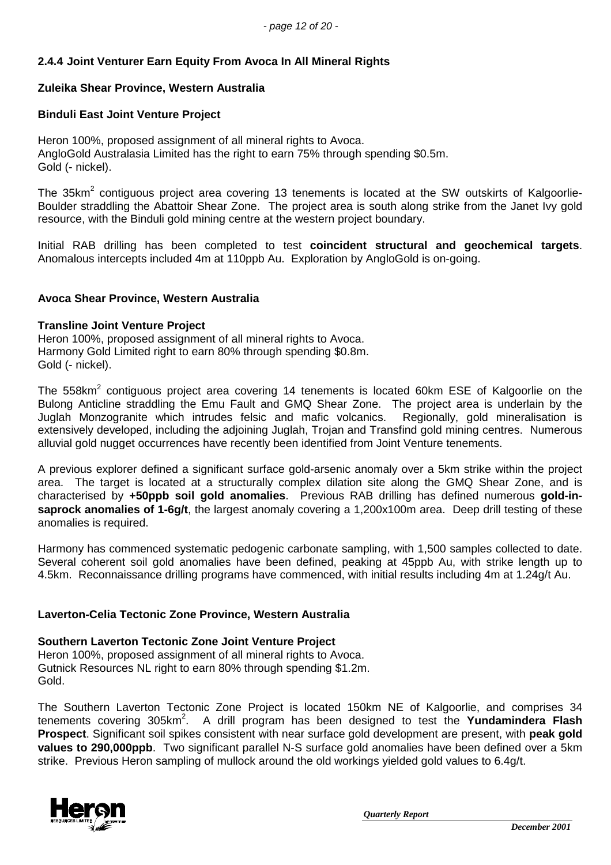## **2.4.4 Joint Venturer Earn Equity From Avoca In All Mineral Rights**

### **Zuleika Shear Province, Western Australia**

### **Binduli East Joint Venture Project**

Heron 100%, proposed assignment of all mineral rights to Avoca. AngloGold Australasia Limited has the right to earn 75% through spending \$0.5m. Gold (- nickel).

The 35km<sup>2</sup> contiguous project area covering 13 tenements is located at the SW outskirts of Kalgoorlie-Boulder straddling the Abattoir Shear Zone. The project area is south along strike from the Janet Ivy gold resource, with the Binduli gold mining centre at the western project boundary.

Initial RAB drilling has been completed to test **coincident structural and geochemical targets**. Anomalous intercepts included 4m at 110ppb Au. Exploration by AngloGold is on-going.

### **Avoca Shear Province, Western Australia**

#### **Transline Joint Venture Project**

Heron 100%, proposed assignment of all mineral rights to Avoca. Harmony Gold Limited right to earn 80% through spending \$0.8m. Gold (- nickel).

The 558km<sup>2</sup> contiguous project area covering 14 tenements is located 60km ESE of Kalgoorlie on the Bulong Anticline straddling the Emu Fault and GMQ Shear Zone. The project area is underlain by the Juglah Monzogranite which intrudes felsic and mafic volcanics. Regionally, gold mineralisation is extensively developed, including the adjoining Juglah, Trojan and Transfind gold mining centres. Numerous alluvial gold nugget occurrences have recently been identified from Joint Venture tenements.

A previous explorer defined a significant surface gold-arsenic anomaly over a 5km strike within the project area. The target is located at a structurally complex dilation site along the GMQ Shear Zone, and is characterised by **+50ppb soil gold anomalies**. Previous RAB drilling has defined numerous **gold-insaprock anomalies of 1-6g/t**, the largest anomaly covering a 1,200x100m area. Deep drill testing of these anomalies is required.

Harmony has commenced systematic pedogenic carbonate sampling, with 1,500 samples collected to date. Several coherent soil gold anomalies have been defined, peaking at 45ppb Au, with strike length up to 4.5km. Reconnaissance drilling programs have commenced, with initial results including 4m at 1.24g/t Au.

### **Laverton-Celia Tectonic Zone Province, Western Australia**

# **Southern Laverton Tectonic Zone Joint Venture Project**

Heron 100%, proposed assignment of all mineral rights to Avoca. Gutnick Resources NL right to earn 80% through spending \$1.2m. Gold.

The Southern Laverton Tectonic Zone Project is located 150km NE of Kalgoorlie, and comprises 34 tenements covering 305km<sup>2</sup>. A drill program has been designed to test the **Yundamindera Flash Prospect**. Significant soil spikes consistent with near surface gold development are present, with **peak gold values to 290,000ppb**. Two significant parallel N-S surface gold anomalies have been defined over a 5km strike. Previous Heron sampling of mullock around the old workings yielded gold values to 6.4g/t.

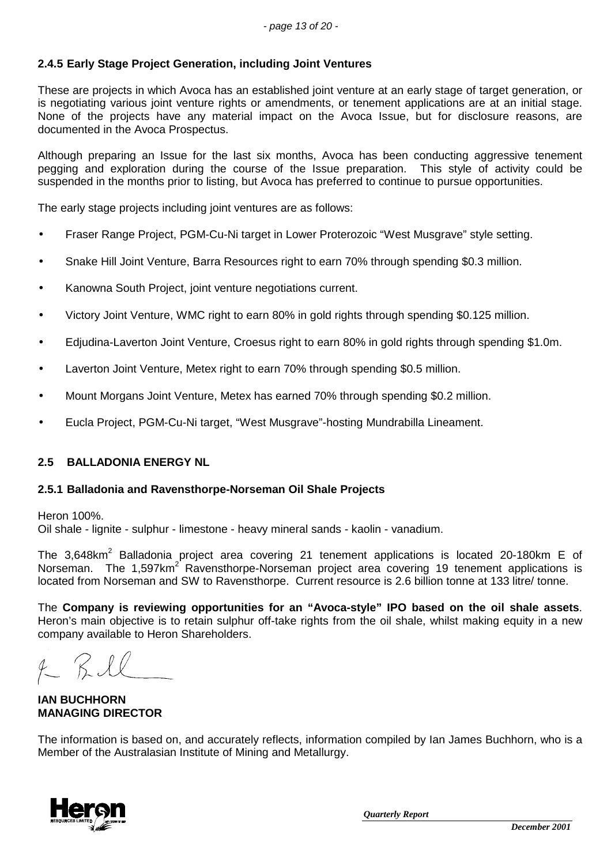## **2.4.5 Early Stage Project Generation, including Joint Ventures**

These are projects in which Avoca has an established joint venture at an early stage of target generation, or is negotiating various joint venture rights or amendments, or tenement applications are at an initial stage. None of the projects have any material impact on the Avoca Issue, but for disclosure reasons, are documented in the Avoca Prospectus.

Although preparing an Issue for the last six months, Avoca has been conducting aggressive tenement pegging and exploration during the course of the Issue preparation. This style of activity could be suspended in the months prior to listing, but Avoca has preferred to continue to pursue opportunities.

The early stage projects including joint ventures are as follows:

- Fraser Range Project, PGM-Cu-Ni target in Lower Proterozoic "West Musgrave" style setting.
- Snake Hill Joint Venture, Barra Resources right to earn 70% through spending \$0.3 million.
- Kanowna South Project, joint venture negotiations current.
- Victory Joint Venture, WMC right to earn 80% in gold rights through spending \$0.125 million.
- Edjudina-Laverton Joint Venture, Croesus right to earn 80% in gold rights through spending \$1.0m.
- Laverton Joint Venture, Metex right to earn 70% through spending \$0.5 million.
- Mount Morgans Joint Venture, Metex has earned 70% through spending \$0.2 million.
- Eucla Project, PGM-Cu-Ni target, "West Musgrave"-hosting Mundrabilla Lineament.

### **2.5 BALLADONIA ENERGY NL**

#### **2.5.1 Balladonia and Ravensthorpe-Norseman Oil Shale Projects**

Heron 100%.

Oil shale - lignite - sulphur - limestone - heavy mineral sands - kaolin - vanadium.

The 3,648km<sup>2</sup> Balladonia project area covering 21 tenement applications is located 20-180km E of Norseman. The 1,597km<sup>2</sup> Ravensthorpe-Norseman project area covering 19 tenement applications is located from Norseman and SW to Ravensthorpe. Current resource is 2.6 billion tonne at 133 litre/ tonne.

The **Company is reviewing opportunities for an "Avoca-style" IPO based on the oil shale assets**. Heron's main objective is to retain sulphur off-take rights from the oil shale, whilst making equity in a new company available to Heron Shareholders.

**IAN BUCHHORN MANAGING DIRECTOR**

The information is based on, and accurately reflects, information compiled by Ian James Buchhorn, who is a Member of the Australasian Institute of Mining and Metallurgy.

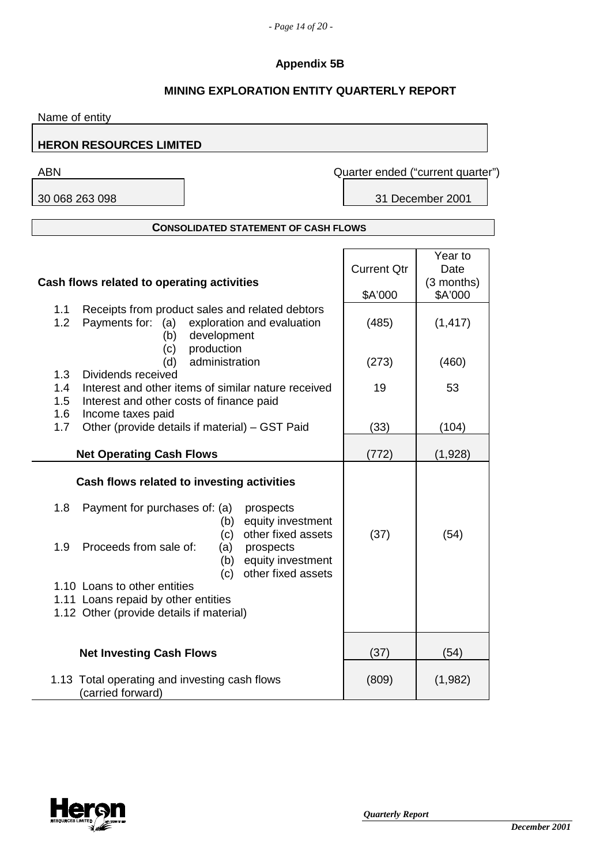## **Appendix 5B**

## **MINING EXPLORATION ENTITY QUARTERLY REPORT**

Name of entity

### **HERON RESOURCES LIMITED**

30 068 263 098 31 December 2001

ABN Quarter ended ("current quarter")

#### **CONSOLIDATED STATEMENT OF CASH FLOWS**

|                                            |                                                     |                    | Year to    |
|--------------------------------------------|-----------------------------------------------------|--------------------|------------|
|                                            |                                                     | <b>Current Qtr</b> | Date       |
| Cash flows related to operating activities |                                                     |                    | (3 months) |
|                                            |                                                     | \$A'000            | \$A'000    |
| 1.1                                        | Receipts from product sales and related debtors     |                    |            |
| 1.2                                        | Payments for:<br>(a) exploration and evaluation     | (485)              | (1, 417)   |
|                                            | (b)<br>development                                  |                    |            |
|                                            | production<br>(c)                                   |                    |            |
|                                            | administration<br>(d)                               | (273)              | (460)      |
| 1.3                                        | Dividends received                                  |                    |            |
| 1.4                                        | Interest and other items of similar nature received | 19                 | 53         |
| 1.5                                        | Interest and other costs of finance paid            |                    |            |
| 1.6                                        | Income taxes paid                                   |                    |            |
| 1.7                                        | Other (provide details if material) - GST Paid      | (33)               | (104)      |
|                                            |                                                     |                    |            |
|                                            | <b>Net Operating Cash Flows</b>                     | (772)              | (1,928)    |
|                                            |                                                     |                    |            |
|                                            | Cash flows related to investing activities          |                    |            |
| 1.8                                        | Payment for purchases of: (a)                       |                    |            |
|                                            | prospects<br>equity investment                      |                    |            |
|                                            | (b)<br>other fixed assets<br>(c)                    | (37)               | (54)       |
| 1.9                                        | Proceeds from sale of:<br>(a)<br>prospects          |                    |            |
|                                            | equity investment<br>(b)                            |                    |            |
|                                            | other fixed assets<br>(c)                           |                    |            |
|                                            | 1.10 Loans to other entities                        |                    |            |
|                                            | 1.11 Loans repaid by other entities                 |                    |            |
|                                            | 1.12 Other (provide details if material)            |                    |            |
|                                            |                                                     |                    |            |
|                                            |                                                     |                    |            |
|                                            | <b>Net Investing Cash Flows</b>                     | (37)               | (54)       |
|                                            |                                                     |                    |            |
|                                            | 1.13 Total operating and investing cash flows       | (809)              | (1,982)    |
|                                            | (carried forward)                                   |                    |            |

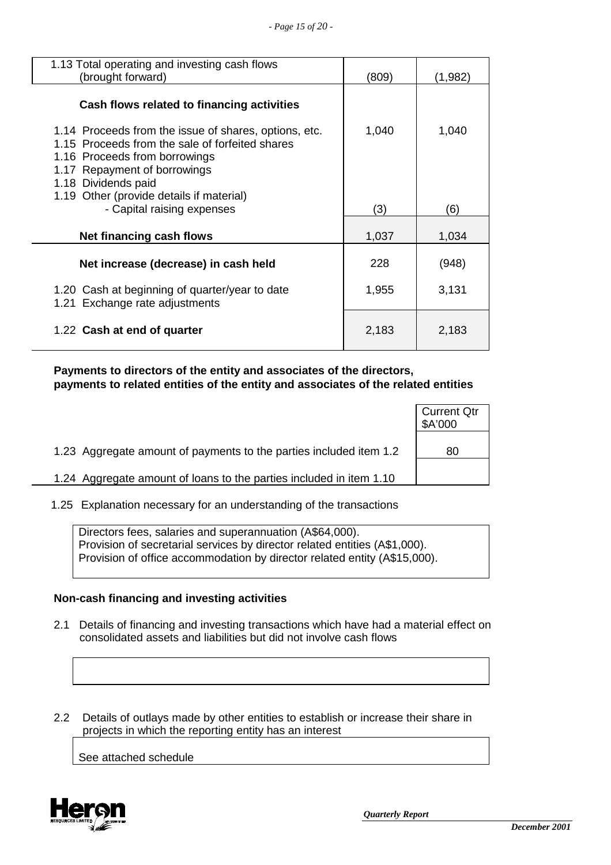| 1.13 Total operating and investing cash flows<br>(brought forward)                                                                                                                                                                           | (809) | (1,982) |
|----------------------------------------------------------------------------------------------------------------------------------------------------------------------------------------------------------------------------------------------|-------|---------|
| Cash flows related to financing activities                                                                                                                                                                                                   |       |         |
| 1.14 Proceeds from the issue of shares, options, etc.<br>1.15 Proceeds from the sale of forfeited shares<br>1.16 Proceeds from borrowings<br>1.17 Repayment of borrowings<br>1.18 Dividends paid<br>1.19 Other (provide details if material) | 1,040 | 1,040   |
| - Capital raising expenses                                                                                                                                                                                                                   | (3)   | (6)     |
| Net financing cash flows                                                                                                                                                                                                                     | 1,037 | 1,034   |
| Net increase (decrease) in cash held                                                                                                                                                                                                         | 228   | (948)   |
| 1.20 Cash at beginning of quarter/year to date<br>1.21 Exchange rate adjustments                                                                                                                                                             | 1,955 | 3,131   |
| 1.22 Cash at end of quarter                                                                                                                                                                                                                  | 2,183 | 2,183   |

 **Payments to directors of the entity and associates of the directors, payments to related entities of the entity and associates of the related entities**

|                                                                     | <b>Current Qtr</b><br>\$A'000 |
|---------------------------------------------------------------------|-------------------------------|
| 1.23 Aggregate amount of payments to the parties included item 1.2  | 80                            |
| 1.24 Aggregate amount of loans to the parties included in item 1.10 |                               |

1.25 Explanation necessary for an understanding of the transactions

Directors fees, salaries and superannuation (A\$64,000). Provision of secretarial services by director related entities (A\$1,000). Provision of office accommodation by director related entity (A\$15,000).

### **Non-cash financing and investing activities**

 2.1 Details of financing and investing transactions which have had a material effect on consolidated assets and liabilities but did not involve cash flows

 2.2 Details of outlays made by other entities to establish or increase their share in projects in which the reporting entity has an interest

See attached schedule

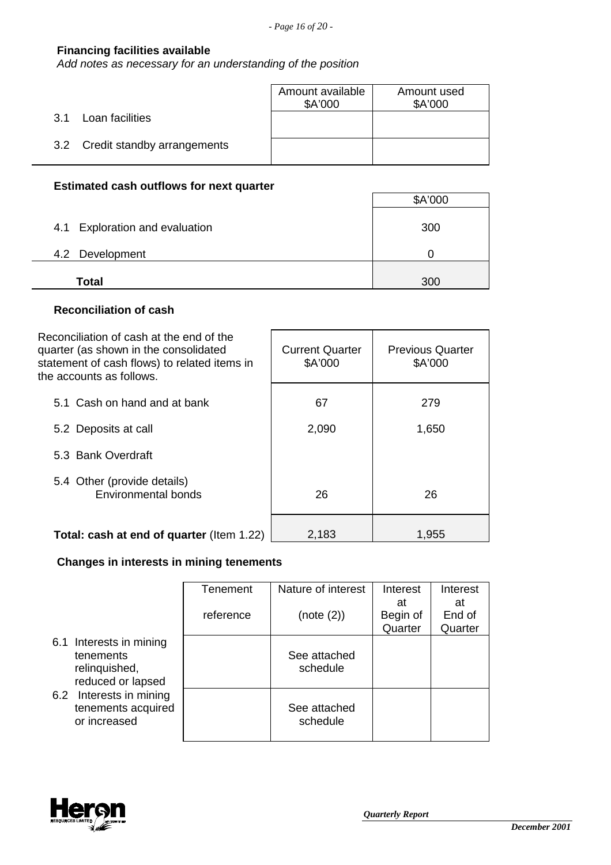### **Financing facilities available**

*Add notes as necessary for an understanding of the position*

|                                 | Amount available<br>\$A'000 | Amount used<br>\$A'000 |
|---------------------------------|-----------------------------|------------------------|
| Loan facilities<br>3.1          |                             |                        |
| 3.2 Credit standby arrangements |                             |                        |

## **Estimated cash outflows for next quarter**

|                                | \$A'000 |
|--------------------------------|---------|
| 4.1 Exploration and evaluation | 300     |
| 4.2 Development                |         |
| <b>Total</b>                   | 300     |

### **Reconciliation of cash**

| Reconciliation of cash at the end of the<br>quarter (as shown in the consolidated<br>statement of cash flows) to related items in<br>the accounts as follows. | <b>Current Quarter</b><br>\$A'000 | <b>Previous Quarter</b><br>\$A'000 |
|---------------------------------------------------------------------------------------------------------------------------------------------------------------|-----------------------------------|------------------------------------|
| 5.1 Cash on hand and at bank                                                                                                                                  | 67                                | 279                                |
| 5.2 Deposits at call                                                                                                                                          | 2,090                             | 1,650                              |
| 5.3 Bank Overdraft                                                                                                                                            |                                   |                                    |
| 5.4 Other (provide details)<br>Environmental bonds                                                                                                            | 26                                | 26                                 |
| <b>Total: cash at end of quarter</b> (Item 1.22)                                                                                                              | 2,183                             | 1,955                              |

## **Changes in interests in mining tenements**

|                                                               |                                                                            | Tenement                 | Nature of interest       | Interest                  | Interest                |
|---------------------------------------------------------------|----------------------------------------------------------------------------|--------------------------|--------------------------|---------------------------|-------------------------|
|                                                               |                                                                            | reference                | (note (2))               | at<br>Begin of<br>Quarter | at<br>End of<br>Quarter |
|                                                               | 6.1 Interests in mining<br>tenements<br>relinquished,<br>reduced or lapsed |                          | See attached<br>schedule |                           |                         |
| 6.2 Interests in mining<br>tenements acquired<br>or increased |                                                                            | See attached<br>schedule |                          |                           |                         |

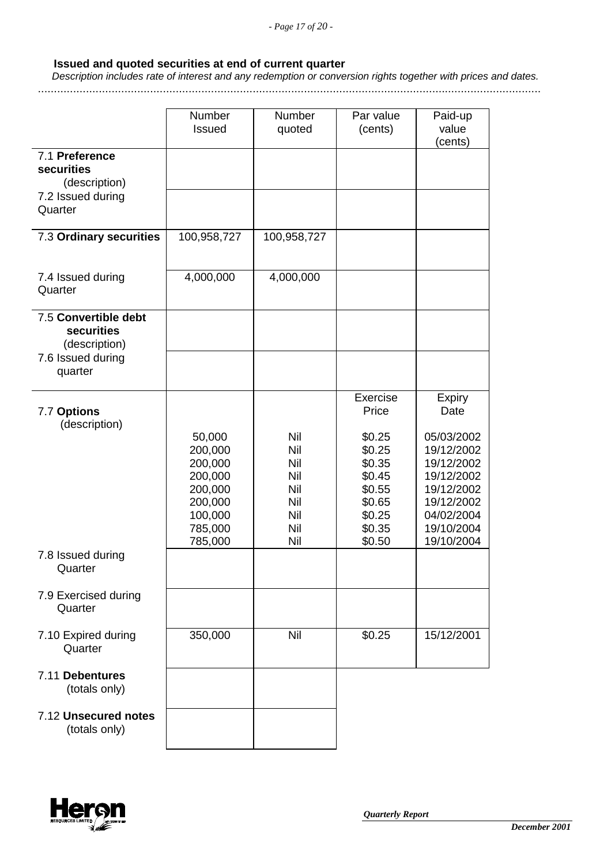### **Issued and quoted securities at end of current quarter**

 *Description includes rate of interest and any redemption or conversion rights together with prices and dates.*

.............................................................................................................................................................

|                                                            | Number<br><b>Issued</b>                                                                        | Number<br>quoted                                            | Par value<br>(cents)                                                                   | Paid-up<br>value<br>(cents)                                                                                                |
|------------------------------------------------------------|------------------------------------------------------------------------------------------------|-------------------------------------------------------------|----------------------------------------------------------------------------------------|----------------------------------------------------------------------------------------------------------------------------|
| 7.1 Preference<br>securities<br>(description)              |                                                                                                |                                                             |                                                                                        |                                                                                                                            |
| 7.2 Issued during<br>Quarter                               |                                                                                                |                                                             |                                                                                        |                                                                                                                            |
| 7.3 Ordinary securities                                    | 100,958,727                                                                                    | 100,958,727                                                 |                                                                                        |                                                                                                                            |
| 7.4 Issued during<br>Quarter                               | 4,000,000                                                                                      | 4,000,000                                                   |                                                                                        |                                                                                                                            |
| 7.5 Convertible debt<br><b>securities</b><br>(description) |                                                                                                |                                                             |                                                                                        |                                                                                                                            |
| 7.6 Issued during<br>quarter                               |                                                                                                |                                                             |                                                                                        |                                                                                                                            |
| 7.7 Options<br>(description)                               |                                                                                                |                                                             | Exercise<br>Price                                                                      | Expiry<br>Date                                                                                                             |
|                                                            | 50,000<br>200,000<br>200,000<br>200,000<br>200,000<br>200,000<br>100,000<br>785,000<br>785,000 | Nil<br>Nil<br>Nil<br>Nil<br>Nil<br>Nil<br>Nil<br>Nil<br>Nil | \$0.25<br>\$0.25<br>\$0.35<br>\$0.45<br>\$0.55<br>\$0.65<br>\$0.25<br>\$0.35<br>\$0.50 | 05/03/2002<br>19/12/2002<br>19/12/2002<br>19/12/2002<br>19/12/2002<br>19/12/2002<br>04/02/2004<br>19/10/2004<br>19/10/2004 |
| 7.8 Issued during<br>Quarter                               |                                                                                                |                                                             |                                                                                        |                                                                                                                            |
| 7.9 Exercised during<br>Quarter                            |                                                                                                |                                                             |                                                                                        |                                                                                                                            |
| 7.10 Expired during<br>Quarter                             | 350,000                                                                                        | Nil                                                         | \$0.25                                                                                 | 15/12/2001                                                                                                                 |
| 7.11 Debentures<br>(totals only)                           |                                                                                                |                                                             |                                                                                        |                                                                                                                            |
| 7.12 Unsecured notes<br>(totals only)                      |                                                                                                |                                                             |                                                                                        |                                                                                                                            |

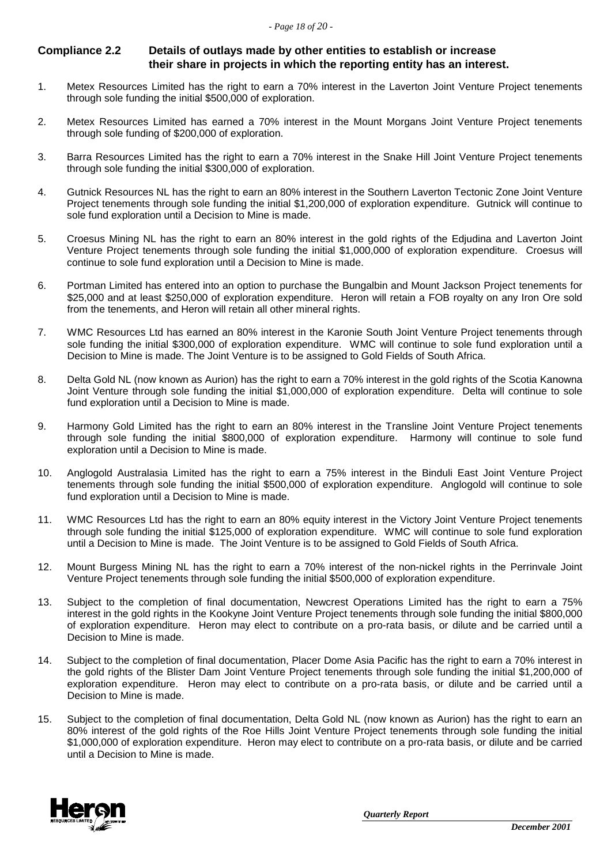### **Compliance 2.2 Details of outlays made by other entities to establish or increase their share in projects in which the reporting entity has an interest.**

- 1. Metex Resources Limited has the right to earn a 70% interest in the Laverton Joint Venture Project tenements through sole funding the initial \$500,000 of exploration.
- 2. Metex Resources Limited has earned a 70% interest in the Mount Morgans Joint Venture Project tenements through sole funding of \$200,000 of exploration.
- 3. Barra Resources Limited has the right to earn a 70% interest in the Snake Hill Joint Venture Project tenements through sole funding the initial \$300,000 of exploration.
- 4. Gutnick Resources NL has the right to earn an 80% interest in the Southern Laverton Tectonic Zone Joint Venture Project tenements through sole funding the initial \$1,200,000 of exploration expenditure. Gutnick will continue to sole fund exploration until a Decision to Mine is made.
- 5. Croesus Mining NL has the right to earn an 80% interest in the gold rights of the Edjudina and Laverton Joint Venture Project tenements through sole funding the initial \$1,000,000 of exploration expenditure. Croesus will continue to sole fund exploration until a Decision to Mine is made.
- 6. Portman Limited has entered into an option to purchase the Bungalbin and Mount Jackson Project tenements for \$25,000 and at least \$250,000 of exploration expenditure. Heron will retain a FOB royalty on any Iron Ore sold from the tenements, and Heron will retain all other mineral rights.
- 7. WMC Resources Ltd has earned an 80% interest in the Karonie South Joint Venture Project tenements through sole funding the initial \$300,000 of exploration expenditure. WMC will continue to sole fund exploration until a Decision to Mine is made. The Joint Venture is to be assigned to Gold Fields of South Africa.
- 8. Delta Gold NL (now known as Aurion) has the right to earn a 70% interest in the gold rights of the Scotia Kanowna Joint Venture through sole funding the initial \$1,000,000 of exploration expenditure. Delta will continue to sole fund exploration until a Decision to Mine is made.
- 9. Harmony Gold Limited has the right to earn an 80% interest in the Transline Joint Venture Project tenements through sole funding the initial \$800,000 of exploration expenditure. Harmony will continue to sole fund exploration until a Decision to Mine is made.
- 10. Anglogold Australasia Limited has the right to earn a 75% interest in the Binduli East Joint Venture Project tenements through sole funding the initial \$500,000 of exploration expenditure. Anglogold will continue to sole fund exploration until a Decision to Mine is made.
- 11. WMC Resources Ltd has the right to earn an 80% equity interest in the Victory Joint Venture Project tenements through sole funding the initial \$125,000 of exploration expenditure. WMC will continue to sole fund exploration until a Decision to Mine is made. The Joint Venture is to be assigned to Gold Fields of South Africa.
- 12. Mount Burgess Mining NL has the right to earn a 70% interest of the non-nickel rights in the Perrinvale Joint Venture Project tenements through sole funding the initial \$500,000 of exploration expenditure.
- 13. Subject to the completion of final documentation, Newcrest Operations Limited has the right to earn a 75% interest in the gold rights in the Kookyne Joint Venture Project tenements through sole funding the initial \$800,000 of exploration expenditure. Heron may elect to contribute on a pro-rata basis, or dilute and be carried until a Decision to Mine is made.
- 14. Subject to the completion of final documentation, Placer Dome Asia Pacific has the right to earn a 70% interest in the gold rights of the Blister Dam Joint Venture Project tenements through sole funding the initial \$1,200,000 of exploration expenditure. Heron may elect to contribute on a pro-rata basis, or dilute and be carried until a Decision to Mine is made.
- 15. Subject to the completion of final documentation, Delta Gold NL (now known as Aurion) has the right to earn an 80% interest of the gold rights of the Roe Hills Joint Venture Project tenements through sole funding the initial \$1,000,000 of exploration expenditure. Heron may elect to contribute on a pro-rata basis, or dilute and be carried until a Decision to Mine is made.

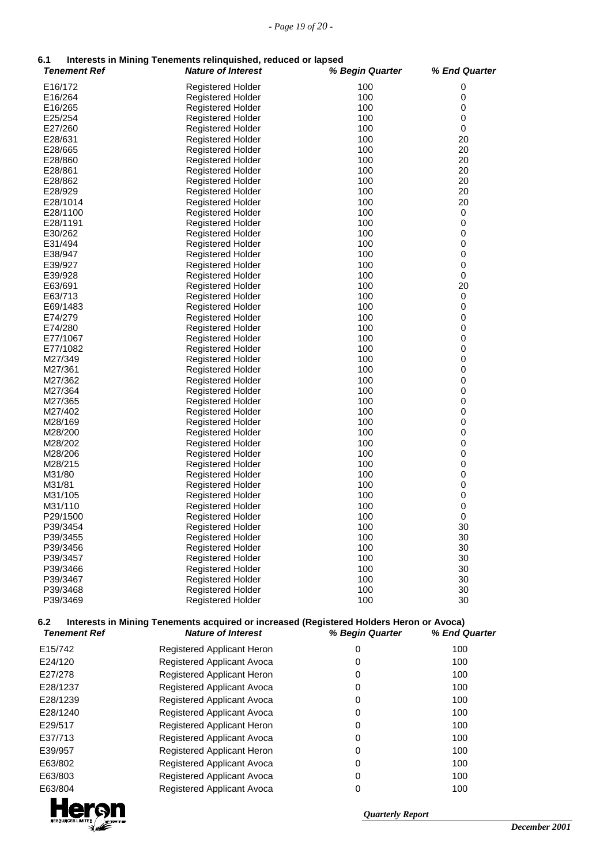# **6.1 Interests in Mining Tenements relinquished, reduced or lapsed**

| 6.1                        | Interests in Mining Tenements relinquished, reduced or lapsed                                                        |                 |               |
|----------------------------|----------------------------------------------------------------------------------------------------------------------|-----------------|---------------|
| <b>Tenement Ref</b>        | <b>Nature of Interest</b>                                                                                            | % Begin Quarter | % End Quarter |
| E16/172                    | Registered Holder                                                                                                    | 100             | 0             |
| E16/264                    | <b>Registered Holder</b>                                                                                             | 100             | 0             |
| E16/265                    | <b>Registered Holder</b>                                                                                             | 100             | 0             |
| E25/254                    | <b>Registered Holder</b>                                                                                             | 100             | 0             |
| E27/260                    | Registered Holder                                                                                                    | 100             | 0             |
| E28/631                    | Registered Holder                                                                                                    | 100             | 20            |
| E28/665                    | <b>Registered Holder</b>                                                                                             | 100             | 20            |
| E28/860                    | <b>Registered Holder</b>                                                                                             | 100             | 20            |
| E28/861                    | Registered Holder                                                                                                    | 100             | 20            |
| E28/862                    | <b>Registered Holder</b>                                                                                             | 100             | 20            |
| E28/929                    | <b>Registered Holder</b>                                                                                             | 100             | 20            |
| E28/1014                   | <b>Registered Holder</b>                                                                                             | 100             | 20            |
| E28/1100                   | <b>Registered Holder</b>                                                                                             | 100             | 0             |
| E28/1191                   | <b>Registered Holder</b>                                                                                             | 100             | 0             |
| E30/262                    | Registered Holder                                                                                                    | 100             | 0             |
| E31/494                    | <b>Registered Holder</b>                                                                                             | 100             | 0             |
| E38/947                    | <b>Registered Holder</b>                                                                                             | 100             | 0             |
| E39/927                    | <b>Registered Holder</b>                                                                                             | 100             | 0             |
| E39/928                    | Registered Holder                                                                                                    | 100             | 0             |
| E63/691                    | <b>Registered Holder</b>                                                                                             | 100             | 20            |
| E63/713                    | <b>Registered Holder</b>                                                                                             | 100             | 0<br>0        |
| E69/1483<br>E74/279        | <b>Registered Holder</b>                                                                                             | 100<br>100      | 0             |
| E74/280                    | <b>Registered Holder</b><br>Registered Holder                                                                        | 100             | 0             |
| E77/1067                   | <b>Registered Holder</b>                                                                                             | 100             | 0             |
| E77/1082                   | Registered Holder                                                                                                    | 100             | 0             |
| M27/349                    | <b>Registered Holder</b>                                                                                             | 100             | 0             |
| M27/361                    | <b>Registered Holder</b>                                                                                             | 100             | 0             |
| M27/362                    | <b>Registered Holder</b>                                                                                             | 100             | 0             |
| M27/364                    | <b>Registered Holder</b>                                                                                             | 100             | 0             |
| M27/365                    | <b>Registered Holder</b>                                                                                             | 100             | 0             |
| M27/402                    | <b>Registered Holder</b>                                                                                             | 100             | 0             |
| M28/169                    | Registered Holder                                                                                                    | 100             | 0             |
| M28/200                    | Registered Holder                                                                                                    | 100             | 0             |
| M28/202                    | <b>Registered Holder</b>                                                                                             | 100             | 0             |
| M28/206                    | Registered Holder                                                                                                    | 100             | 0             |
| M28/215                    | <b>Registered Holder</b>                                                                                             | 100             | 0             |
| M31/80                     | Registered Holder                                                                                                    | 100             | 0             |
| M31/81                     | <b>Registered Holder</b>                                                                                             | 100             | 0             |
| M31/105                    | <b>Registered Holder</b>                                                                                             | 100             | 0             |
| M31/110                    | <b>Registered Holder</b>                                                                                             | 100             | $\pmb{0}$     |
| P29/1500                   | Registered Holder                                                                                                    | 100             | $\Omega$      |
| P39/3454                   | <b>Registered Holder</b>                                                                                             | 100             | 30            |
| P39/3455                   | <b>Registered Holder</b>                                                                                             | 100             | 30            |
| P39/3456                   | <b>Registered Holder</b>                                                                                             | 100             | 30            |
| P39/3457                   | Registered Holder                                                                                                    | 100             | 30            |
| P39/3466<br>P39/3467       | Registered Holder                                                                                                    | 100             | 30            |
|                            | <b>Registered Holder</b>                                                                                             | 100             | 30            |
| P39/3468<br>P39/3469       | Registered Holder<br><b>Registered Holder</b>                                                                        | 100<br>100      | 30<br>30      |
|                            |                                                                                                                      |                 |               |
| 6.2<br><b>Tenement Ref</b> | Interests in Mining Tenements acquired or increased (Registered Holders Heron or Avoca)<br><b>Nature of Interest</b> | % Begin Quarter | % End Quarter |
|                            |                                                                                                                      |                 |               |
| E15/742                    | Registered Applicant Heron                                                                                           | 0               | 100           |
| E24/120                    | Registered Applicant Avoca                                                                                           | 0               | 100           |
| E27/278                    | Registered Applicant Heron                                                                                           | 0               | 100           |
| E28/1237                   | Registered Applicant Avoca                                                                                           | 0               | 100           |
| E28/1239                   | Registered Applicant Avoca                                                                                           | 0               | 100           |
| E28/1240                   | Registered Applicant Avoca                                                                                           | 0               | 100           |
| E29/517                    | Registered Applicant Heron                                                                                           | 0               | 100           |
|                            |                                                                                                                      |                 |               |
| E37/713                    | Registered Applicant Avoca                                                                                           | 0               | 100           |
| E39/957                    | Registered Applicant Heron                                                                                           | 0               | 100           |
| E63/802                    | Registered Applicant Avoca                                                                                           | 0               | 100           |
| E63/803                    | Registered Applicant Avoca                                                                                           | 0               | 100           |
| E63/804                    | Registered Applicant Avoca                                                                                           | 0               | 100           |
|                            |                                                                                                                      |                 |               |